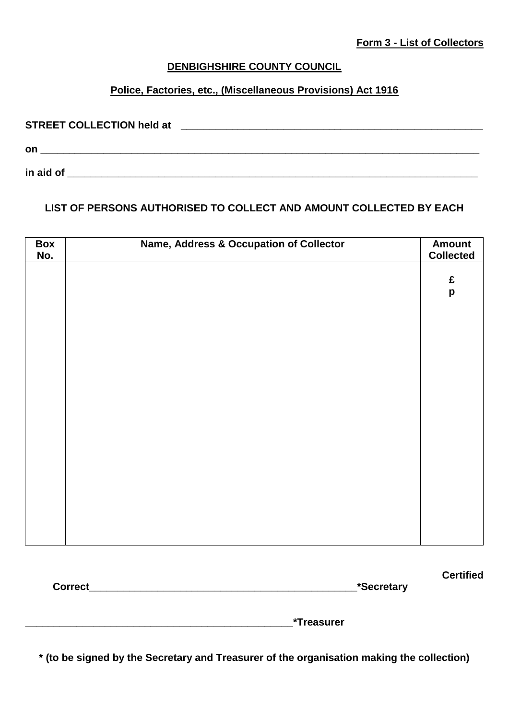**Certified** 

## **DENBIGHSHIRE COUNTY COUNCIL**

# **Police, Factories, etc., (Miscellaneous Provisions) Act 1916**

| <b>STREET COLLECTION held at</b> |  |
|----------------------------------|--|
| on                               |  |
| in aid of                        |  |

## **LIST OF PERSONS AUTHORISED TO COLLECT AND AMOUNT COLLECTED BY EACH**

| Box<br>No. | <b>Name, Address &amp; Occupation of Collector</b> | <b>Amount</b><br><b>Collected</b> |
|------------|----------------------------------------------------|-----------------------------------|
|            |                                                    | $\pmb{\mathfrak{E}}$              |
|            |                                                    | $\boldsymbol{\mathsf{p}}$         |
|            |                                                    |                                   |
|            |                                                    |                                   |
|            |                                                    |                                   |
|            |                                                    |                                   |
|            |                                                    |                                   |
|            |                                                    |                                   |
|            |                                                    |                                   |
|            |                                                    |                                   |
|            |                                                    |                                   |
|            |                                                    |                                   |
|            |                                                    |                                   |

| <b>Correct</b> | *Secretary |
|----------------|------------|

**\_\_\_\_\_\_\_\_\_\_\_\_\_\_\_\_\_\_\_\_\_\_\_\_\_\_\_\_\_\_\_\_\_\_\_\_\_\_\_\_\_\_\_\_\_\_\_\*Treasurer**

**\* (to be signed by the Secretary and Treasurer of the organisation making the collection)**